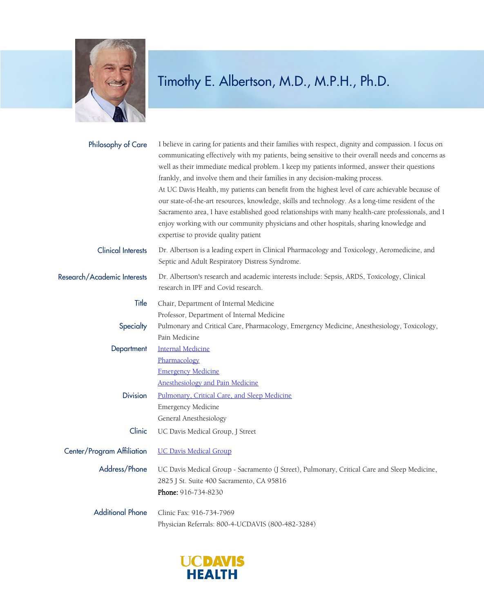

| Philosophy of Care          | I believe in caring for patients and their families with respect, dignity and compassion. I focus on<br>communicating effectively with my patients, being sensitive to their overall needs and concerns as<br>well as their immediate medical problem. I keep my patients informed, answer their questions<br>frankly, and involve them and their families in any decision-making process.<br>At UC Davis Health, my patients can benefit from the highest level of care achievable because of<br>our state-of-the-art resources, knowledge, skills and technology. As a long-time resident of the<br>Sacramento area, I have established good relationships with many health-care professionals, and I<br>enjoy working with our community physicians and other hospitals, sharing knowledge and<br>expertise to provide quality patient |
|-----------------------------|-------------------------------------------------------------------------------------------------------------------------------------------------------------------------------------------------------------------------------------------------------------------------------------------------------------------------------------------------------------------------------------------------------------------------------------------------------------------------------------------------------------------------------------------------------------------------------------------------------------------------------------------------------------------------------------------------------------------------------------------------------------------------------------------------------------------------------------------|
| <b>Clinical Interests</b>   | Dr. Albertson is a leading expert in Clinical Pharmacology and Toxicology, Aeromedicine, and<br>Septic and Adult Respiratory Distress Syndrome.                                                                                                                                                                                                                                                                                                                                                                                                                                                                                                                                                                                                                                                                                           |
| Research/Academic Interests | Dr. Albertson's research and academic interests include: Sepsis, ARDS, Toxicology, Clinical<br>research in IPF and Covid research.                                                                                                                                                                                                                                                                                                                                                                                                                                                                                                                                                                                                                                                                                                        |
| Title                       | Chair, Department of Internal Medicine                                                                                                                                                                                                                                                                                                                                                                                                                                                                                                                                                                                                                                                                                                                                                                                                    |
| Specialty                   | Professor, Department of Internal Medicine<br>Pulmonary and Critical Care, Pharmacology, Emergency Medicine, Anesthesiology, Toxicology,<br>Pain Medicine                                                                                                                                                                                                                                                                                                                                                                                                                                                                                                                                                                                                                                                                                 |
| Department                  | <b>Internal Medicine</b><br>Pharmacology<br><b>Emergency Medicine</b>                                                                                                                                                                                                                                                                                                                                                                                                                                                                                                                                                                                                                                                                                                                                                                     |
| <b>Division</b>             | Anesthesiology and Pain Medicine<br>Pulmonary, Critical Care, and Sleep Medicine<br><b>Emergency Medicine</b><br>General Anesthesiology                                                                                                                                                                                                                                                                                                                                                                                                                                                                                                                                                                                                                                                                                                   |
| Clinic                      | UC Davis Medical Group, J Street                                                                                                                                                                                                                                                                                                                                                                                                                                                                                                                                                                                                                                                                                                                                                                                                          |
| Center/Program Affiliation  | <b>UC Davis Medical Group</b>                                                                                                                                                                                                                                                                                                                                                                                                                                                                                                                                                                                                                                                                                                                                                                                                             |
| Address/Phone               | UC Davis Medical Group - Sacramento (J Street), Pulmonary, Critical Care and Sleep Medicine,<br>2825 J St. Suite 400 Sacramento, CA 95816<br>Phone: 916-734-8230                                                                                                                                                                                                                                                                                                                                                                                                                                                                                                                                                                                                                                                                          |
| <b>Additional Phone</b>     | Clinic Fax: 916-734-7969<br>Physician Referrals: 800-4-UCDAVIS (800-482-3284)                                                                                                                                                                                                                                                                                                                                                                                                                                                                                                                                                                                                                                                                                                                                                             |

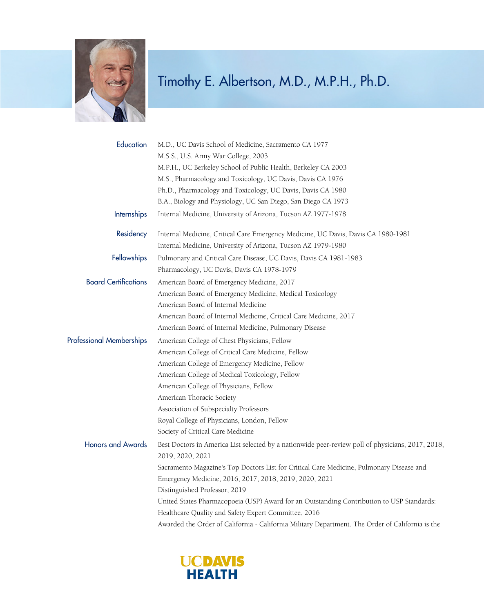

| Education                   | M.D., UC Davis School of Medicine, Sacramento CA 1977                                                                 |
|-----------------------------|-----------------------------------------------------------------------------------------------------------------------|
|                             | M.S.S., U.S. Army War College, 2003                                                                                   |
|                             | M.P.H., UC Berkeley School of Public Health, Berkeley CA 2003                                                         |
|                             | M.S., Pharmacology and Toxicology, UC Davis, Davis CA 1976                                                            |
|                             | Ph.D., Pharmacology and Toxicology, UC Davis, Davis CA 1980                                                           |
|                             | B.A., Biology and Physiology, UC San Diego, San Diego CA 1973                                                         |
| <b>Internships</b>          | Internal Medicine, University of Arizona, Tucson AZ 1977-1978                                                         |
| Residency                   | Internal Medicine, Critical Care Emergency Medicine, UC Davis, Davis CA 1980-1981                                     |
|                             | Internal Medicine, University of Arizona, Tucson AZ 1979-1980                                                         |
| Fellowships                 | Pulmonary and Critical Care Disease, UC Davis, Davis CA 1981-1983                                                     |
|                             | Pharmacology, UC Davis, Davis CA 1978-1979                                                                            |
| <b>Board Certifications</b> | American Board of Emergency Medicine, 2017                                                                            |
|                             | American Board of Emergency Medicine, Medical Toxicology                                                              |
|                             | American Board of Internal Medicine                                                                                   |
|                             | American Board of Internal Medicine, Critical Care Medicine, 2017                                                     |
|                             | American Board of Internal Medicine, Pulmonary Disease                                                                |
| Professional Memberships    | American College of Chest Physicians, Fellow                                                                          |
|                             | American College of Critical Care Medicine, Fellow                                                                    |
|                             | American College of Emergency Medicine, Fellow                                                                        |
|                             | American College of Medical Toxicology, Fellow                                                                        |
|                             | American College of Physicians, Fellow                                                                                |
|                             | American Thoracic Society                                                                                             |
|                             | Association of Subspecialty Professors                                                                                |
|                             | Royal College of Physicians, London, Fellow                                                                           |
|                             | Society of Critical Care Medicine                                                                                     |
| <b>Honors and Awards</b>    | Best Doctors in America List selected by a nationwide peer-review poll of physicians, 2017, 2018,<br>2019, 2020, 2021 |
|                             | Sacramento Magazine's Top Doctors List for Critical Care Medicine, Pulmonary Disease and                              |
|                             | Emergency Medicine, 2016, 2017, 2018, 2019, 2020, 2021                                                                |
|                             | Distinguished Professor, 2019                                                                                         |
|                             | United States Pharmacopoeia (USP) Award for an Outstanding Contribution to USP Standards:                             |
|                             | Healthcare Quality and Safety Expert Committee, 2016                                                                  |
|                             | Awarded the Order of California - California Military Department. The Order of California is the                      |

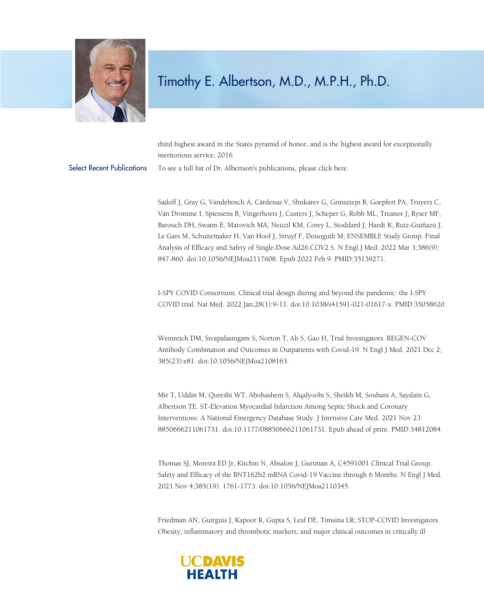

third highest award in the States pyramid of honor, and is the highest award for exceptionally meritorious service, 2016

Select Recent Publications To see a full list of Dr. Albertson's publications, please click [here.](https://www.experts.scival.com/ucdavis/expertPubs.asp?n=Timothy+E+Albertson%26amp%3Bu_id=12%26amp%3Boe_id=1%26amp%3Bo_id=22)

Sadoff J, Gray G, Vandebosch A, Cárdenas V, Shukarev G, Grinsztejn B, Goepfert PA, Truyers C, Van Dromme I, Spiessens B, Vingerhoets J, Custers J, Scheper G, Robb ML, Treanor J, Ryser MF, Barouch DH, Swann E, Marovich MA, Neuzil KM, Corey L, Stoddard J, Hardt K, Ruiz-Guiñazú J, Le Gars M, Schuitemaker H, Van Hoof J, Struyf F, Douoguih M; ENSEMBLE Study Group. Final Analysis of Efficacy and Safety of Single-Dose Ad26.COV2.S. N Engl J Med. 2022 Mar 3;386(9): 847-860. doi:10.1056/NEJMoa2117608. Epub 2022 Feb 9. PMID:35139271.

I-SPY COVID Consortium. Clinical trial design during and beyond the pandemic: the I-SPY COVID trial. Nat Med. 2022 Jan;28(1):9-11. doi:10.1038/s41591-021-01617-x. PMID:35058620.

Weinreich DM, Sivapalasingam S, Norton T, Ali S, Gao H, Trial Investigators. REGEN-COV Antibody Combination and Outcomes in Outpatients with Covid-19. N Engl J Med. 2021 Dec 2; 385(23):e81. doi:10.1056/NEJMoa2108163.

Mir T, Uddin M, Qureshi WT, Abohashem S, Alqalyoobi S, Sheikh M, Soubani A, Saydain G, Albertson TE. ST-Elevation Myocardial Infarction Among Septic Shock and Coronary Interventions: A National Emergency Database Study. J Intensive Care Med. 2021 Nov 23: 8850666211061731. doi:10.1177/08850666211061731. Epub ahead of print. PMID:34812084.

Thomas SJ, Moreira ED Jr, Kitchin N, Absalon J, Gurtman A, C4591001 Clinical Trial Group. Safety and Efficacy of the BNT162b2 mRNA Covid-19 Vaccine through 6 Months. N Engl J Med. 2021 Nov 4;385(19): 1761-1773. doi:10.1056/NEJMoa2110345.

Friedman AN, Guirguis J, Kapoor R, Gupta S, Leaf DE, Timsina LR; STOP-COVID Investigators. Obesity, inflammatory and thrombotic markers, and major clinical outcomes in critically ill